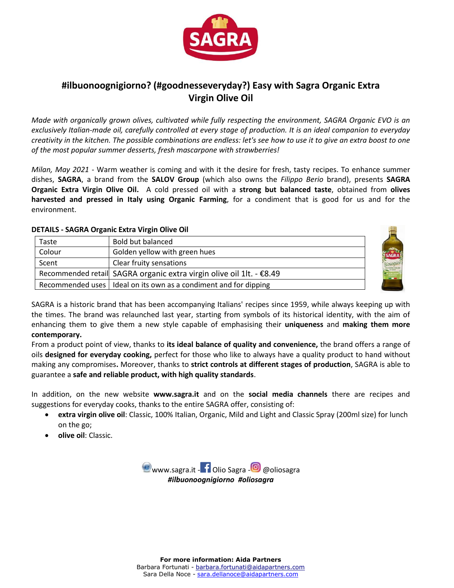

# **#ilbuonoognigiorno? (#goodnesseveryday?) Easy with Sagra Organic Extra Virgin Olive Oil**

*Made with organically grown olives, cultivated while fully respecting the environment, SAGRA Organic EVO is an exclusively Italian-made oil, carefully controlled at every stage of production. It is an ideal companion to everyday creativity in the kitchen. The possible combinations are endless: let's see how to use it to give an extra boost to one of the most popular summer desserts, fresh mascarpone with strawberries!*

*Milan, May 2021* - Warm weather is coming and with it the desire for fresh, tasty recipes. To enhance summer dishes, **SAGRA**, a brand from the **SALOV Group** (which also owns the *Filippo Berio* brand), presents **SAGRA Organic Extra Virgin Olive Oil.** A cold pressed oil with a **strong but balanced taste**, obtained from **olives harvested and pressed in Italy using Organic Farming**, for a condiment that is good for us and for the environment.

### **DETAILS - SAGRA Organic Extra Virgin Olive Oil**

| Taste  | <b>Bold but balanced</b>                                             |     |
|--------|----------------------------------------------------------------------|-----|
| Colour | Golden yellow with green hues                                        | Ģs) |
| Scent  | Clear fruity sensations                                              | Bic |
|        | Recommended retail SAGRA organic extra virgin olive oil 1lt. - €8.49 |     |
|        | Recommended uses   Ideal on its own as a condiment and for dipping   |     |

SAGRA is a historic brand that has been accompanying Italians' recipes since 1959, while always keeping up with the times. The brand was relaunched last year, starting from symbols of its historical identity, with the aim of enhancing them to give them a new style capable of emphasising their **uniqueness** and **making them more contemporary.**

From a product point of view, thanks to **its ideal balance of quality and convenience,** the brand offers a range of oils **designed for everyday cooking,** perfect for those who like to always have a quality product to hand without making any compromises**.** Moreover, thanks to **strict controls at different stages of production**, SAGRA is able to guarantee a **safe and reliable product, with high quality standards**.

In addition, on the new website **[www.sagra.it](http://www.sagra.it/)** and on the **social media channels** there are recipes and suggestions for everyday cooks, thanks to the entire SAGRA offer, consisting of:

- **extra virgin olive oil**: Classic, 100% Italian, Organic, Mild and Light and Classic Spray (200ml size) for lunch on the go;
- **olive oil**: Classic.